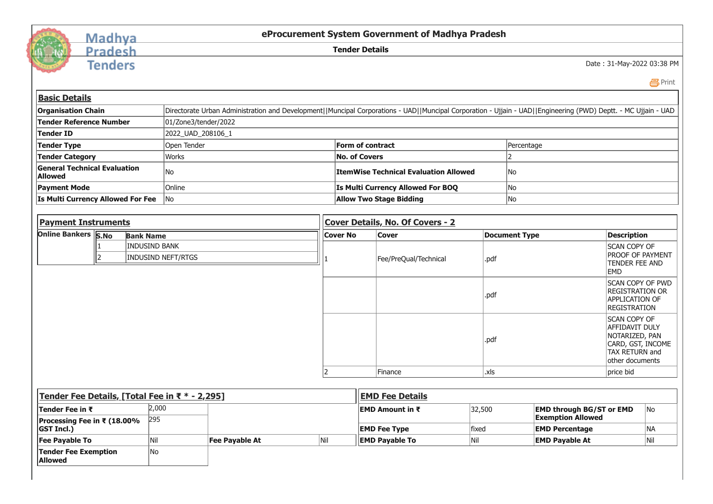

## Madhya Pradesh

**Tenders** 

**eProcurement System Government of Madhya Pradesh**

**Tender Details**

Date : 31-May-2022 03:38 PM

Print

| <b>Basic Details</b>                                  |                                         |                      |                                                                                                                                                                |                       |                          |                                              |                                           |        |                                                             |                                                                                                                          |                    |  |
|-------------------------------------------------------|-----------------------------------------|----------------------|----------------------------------------------------------------------------------------------------------------------------------------------------------------|-----------------------|--------------------------|----------------------------------------------|-------------------------------------------|--------|-------------------------------------------------------------|--------------------------------------------------------------------------------------------------------------------------|--------------------|--|
| <b>Organisation Chain</b>                             |                                         |                      | Directorate Urban Administration and Development  Muncipal Corporations - UAD  Muncipal Corporation - Ujjain - UAD  Engineering (PWD) Deptt. - MC Ujjain - UAD |                       |                          |                                              |                                           |        |                                                             |                                                                                                                          |                    |  |
| <b>Tender Reference Number</b>                        |                                         |                      | 01/Zone3/tender/2022                                                                                                                                           |                       |                          |                                              |                                           |        |                                                             |                                                                                                                          |                    |  |
| <b>Tender ID</b>                                      |                                         |                      | 2022_UAD_208106_1                                                                                                                                              |                       |                          |                                              |                                           |        |                                                             |                                                                                                                          |                    |  |
| <b>Tender Type</b>                                    |                                         |                      | Open Tender                                                                                                                                                    |                       |                          | <b>Form of contract</b>                      |                                           |        | Percentage                                                  |                                                                                                                          |                    |  |
| <b>Tender Category</b>                                |                                         |                      | <b>Works</b>                                                                                                                                                   |                       |                          | <b>No. of Covers</b>                         |                                           |        | $\overline{2}$                                              |                                                                                                                          |                    |  |
| <b>General Technical Evaluation</b><br><b>Allowed</b> |                                         |                      | No                                                                                                                                                             |                       |                          | <b>ItemWise Technical Evaluation Allowed</b> |                                           |        | No.                                                         |                                                                                                                          |                    |  |
| <b>Payment Mode</b>                                   |                                         |                      | Online                                                                                                                                                         |                       |                          |                                              | Is Multi Currency Allowed For BOQ         |        | No                                                          |                                                                                                                          |                    |  |
| <b>Is Multi Currency Allowed For Fee</b>              |                                         |                      | N <sub>o</sub>                                                                                                                                                 |                       |                          |                                              | <b>Allow Two Stage Bidding</b>            |        | No                                                          |                                                                                                                          |                    |  |
|                                                       |                                         |                      |                                                                                                                                                                |                       |                          |                                              |                                           |        |                                                             |                                                                                                                          |                    |  |
|                                                       | <b>Payment Instruments</b>              |                      |                                                                                                                                                                |                       |                          | <b>Cover Details, No. Of Covers - 2</b>      |                                           |        |                                                             |                                                                                                                          |                    |  |
|                                                       | Online Bankers S.No<br><b>Bank Name</b> |                      |                                                                                                                                                                |                       |                          | <b>Cover No</b>                              | <b>Cover</b>                              |        | <b>Document Type</b>                                        |                                                                                                                          | <b>Description</b> |  |
|                                                       |                                         | <b>INDUSIND BANK</b> |                                                                                                                                                                |                       |                          |                                              |                                           |        |                                                             | <b>SCAN COPY OF</b>                                                                                                      |                    |  |
| 2<br><b>INDUSIND NEFT/RTGS</b>                        |                                         |                      |                                                                                                                                                                |                       | Fee/PreQual/Technical    | .pdf                                         |                                           |        | <b>PROOF OF PAYMENT</b><br>TENDER FEE AND                   |                                                                                                                          |                    |  |
|                                                       |                                         |                      |                                                                                                                                                                |                       |                          |                                              |                                           |        |                                                             | <b>EMD</b>                                                                                                               |                    |  |
|                                                       |                                         |                      |                                                                                                                                                                |                       |                          |                                              |                                           | .pdf   |                                                             | SCAN COPY OF PWD<br><b>REGISTRATION OR</b><br><b>APPLICATION OF</b><br><b>REGISTRATION</b>                               |                    |  |
|                                                       |                                         |                      |                                                                                                                                                                |                       |                          |                                              |                                           | .pdf   |                                                             | <b>SCAN COPY OF</b><br><b>AFFIDAVIT DULY</b><br>NOTARIZED, PAN<br>CARD, GST, INCOME<br>TAX RETURN and<br>other documents |                    |  |
|                                                       |                                         |                      |                                                                                                                                                                |                       | $\overline{\phantom{a}}$ |                                              | Finance                                   | .xls   |                                                             | price bid                                                                                                                |                    |  |
|                                                       |                                         |                      |                                                                                                                                                                |                       |                          |                                              |                                           |        |                                                             |                                                                                                                          |                    |  |
| Tender Fee Details, [Total Fee in ₹ * - 2,295]        |                                         |                      |                                                                                                                                                                |                       |                          |                                              | <b>EMD Fee Details</b>                    |        |                                                             |                                                                                                                          |                    |  |
| Tender Fee in ₹                                       |                                         | 2,000<br>295         |                                                                                                                                                                |                       |                          |                                              | <b>EMD Amount in <math>\bar{x}</math></b> | 32,500 | <b>EMD through BG/ST or EMD</b><br><b>Exemption Allowed</b> |                                                                                                                          | No.                |  |
| Processing Fee in ₹ (18.00%<br><b>GST Incl.)</b>      |                                         |                      |                                                                                                                                                                |                       |                          |                                              | <b>EMD Fee Type</b>                       | fixed  | <b>EMD Percentage</b>                                       |                                                                                                                          | INA.               |  |
| Fee Payable To                                        | Nil<br><b>Fee Payable At</b>            |                      | Nil                                                                                                                                                            | <b>EMD Payable To</b> |                          | Nil                                          | <b>EMD Payable At</b>                     |        | Nil                                                         |                                                                                                                          |                    |  |
| <b>Tender Fee Exemption</b><br><b>Allowed</b>         |                                         | <b>No</b>            |                                                                                                                                                                |                       |                          |                                              |                                           |        |                                                             |                                                                                                                          |                    |  |